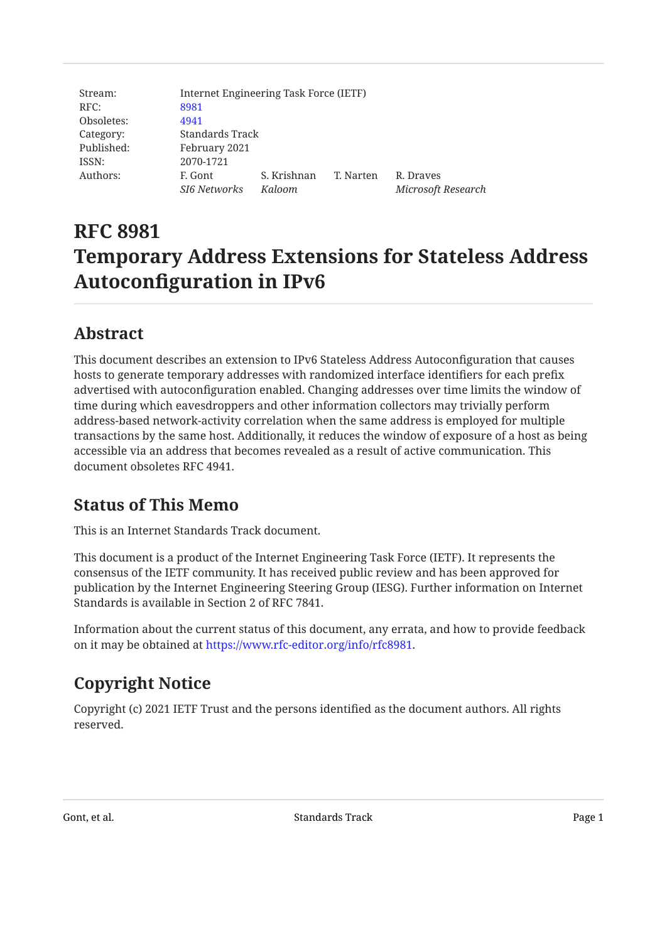| Stream:    | Internet Engineering Task Force (IETF) |             |           |                    |  |
|------------|----------------------------------------|-------------|-----------|--------------------|--|
| RFC:       | 8981                                   |             |           |                    |  |
| Obsoletes: | 4941                                   |             |           |                    |  |
| Category:  | Standards Track                        |             |           |                    |  |
| Published: | February 2021                          |             |           |                    |  |
| ISSN:      | 2070-1721                              |             |           |                    |  |
| Authors:   | F. Gont                                | S. Krishnan | T. Narten | R. Draves          |  |
|            | <b>SI6 Networks</b>                    | Kaloom      |           | Microsoft Research |  |

# **RFC 8981 Temporary Address Extensions for Stateless Address Autoconfiguration in IPv6**

## <span id="page-0-0"></span>**[Abstract](#page-0-0)**

This document describes an extension to IPv6 Stateless Address Autoconfiguration that causes hosts to generate temporary addresses with randomized interface identifiers for each prefix advertised with autoconfiguration enabled. Changing addresses over time limits the window of time during which eavesdroppers and other information collectors may trivially perform address-based network-activity correlation when the same address is employed for multiple transactions by the same host. Additionally, it reduces the window of exposure of a host as being accessible via an address that becomes revealed as a result of active communication. This document obsoletes RFC 4941.

## <span id="page-0-1"></span>**[Status of This Memo](#page-0-1)**

This is an Internet Standards Track document.

This document is a product of the Internet Engineering Task Force (IETF). It represents the consensus of the IETF community. It has received public review and has been approved for publication by the Internet Engineering Steering Group (IESG). Further information on Internet Standards is available in Section 2 of RFC 7841.

Information about the current status of this document, any errata, and how to provide feedback on it may be obtained at <https://www.rfc-editor.org/info/rfc8981>.

# <span id="page-0-2"></span>**[Copyright Notice](#page-0-2)**

Copyright (c) 2021 IETF Trust and the persons identified as the document authors. All rights reserved.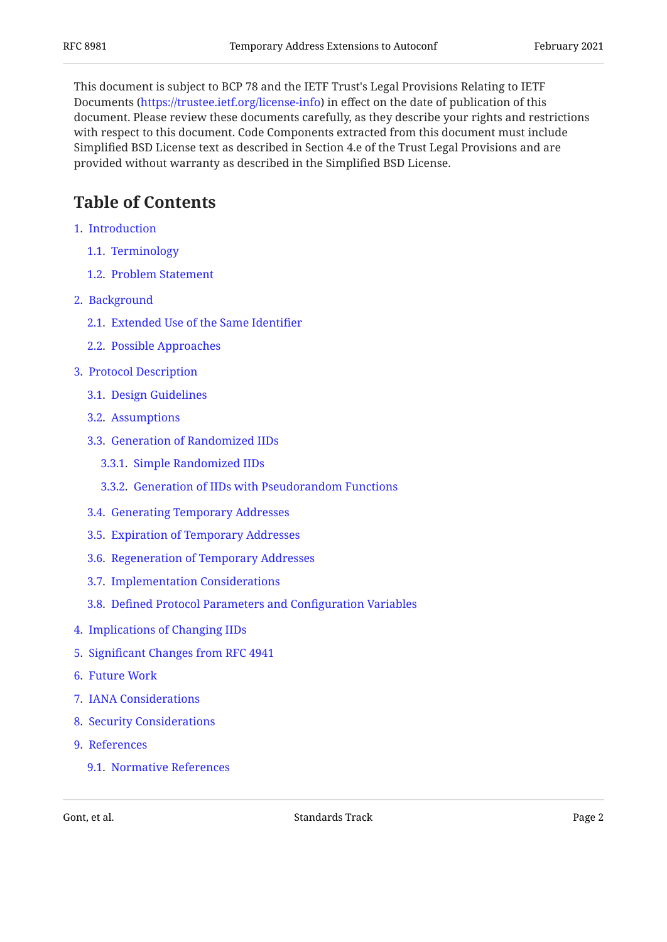This document is subject to BCP 78 and the IETF Trust's Legal Provisions Relating to IETF Documents (<https://trustee.ietf.org/license-info>) in effect on the date of publication of this document. Please review these documents carefully, as they describe your rights and restrictions with respect to this document. Code Components extracted from this document must include Simplified BSD License text as described in Section 4.e of the Trust Legal Provisions and are provided without warranty as described in the Simplified BSD License.

## <span id="page-1-0"></span>**[Table of Contents](#page-1-0)**

- [1.](#page-2-0) [Introduction](#page-2-0)
	- [1.1.](#page-2-1) [Terminology](#page-2-1)
	- [1.2.](#page-2-2) [Problem Statement](#page-2-2)
- [2.](#page-3-0) [Background](#page-3-0)
	- [2.1.](#page-3-1) [Extended Use of the Same Identi](#page-3-1)fier
	- [2.2.](#page-4-0) [Possible Approaches](#page-4-0)
- [3.](#page-5-0) [Protocol Description](#page-5-0)
	- [3.1.](#page-5-1) [Design Guidelines](#page-5-1)
	- [3.2.](#page-6-0) [Assumptions](#page-6-0)
	- [3.3.](#page-6-1) [Generation of Randomized IIDs](#page-6-1)
		- [3.3.1.](#page-6-2) [Simple Randomized IIDs](#page-6-2)
		- [3.3.2.](#page-6-3) [Generation of IIDs with Pseudorandom Functions](#page-6-3)
	- [3.4.](#page-8-0) [Generating Temporary Addresses](#page-8-0)
	- [3.5.](#page-9-0) [Expiration of Temporary Addresses](#page-9-0)
	- [3.6.](#page-10-0) [Regeneration of Temporary Addresses](#page-10-0)
	- [3.7.](#page-11-0) [Implementation Considerations](#page-11-0)
	- [3.8.](#page-11-1) Defi[ned Protocol Parameters and Con](#page-11-1)figuration Variables
- [4.](#page-12-0) [Implications of Changing IIDs](#page-12-0)
- [5.](#page-14-0) Signifi[cant Changes from RFC 4941](#page-14-0)
- [6.](#page-14-1) [Future Work](#page-14-1)
- [7.](#page-15-0) [IANA Considerations](#page-15-0)
- [8.](#page-15-1) [Security Considerations](#page-15-1)
- [9.](#page-15-2) [References](#page-15-2)
	- [9.1.](#page-15-3) [Normative References](#page-15-3)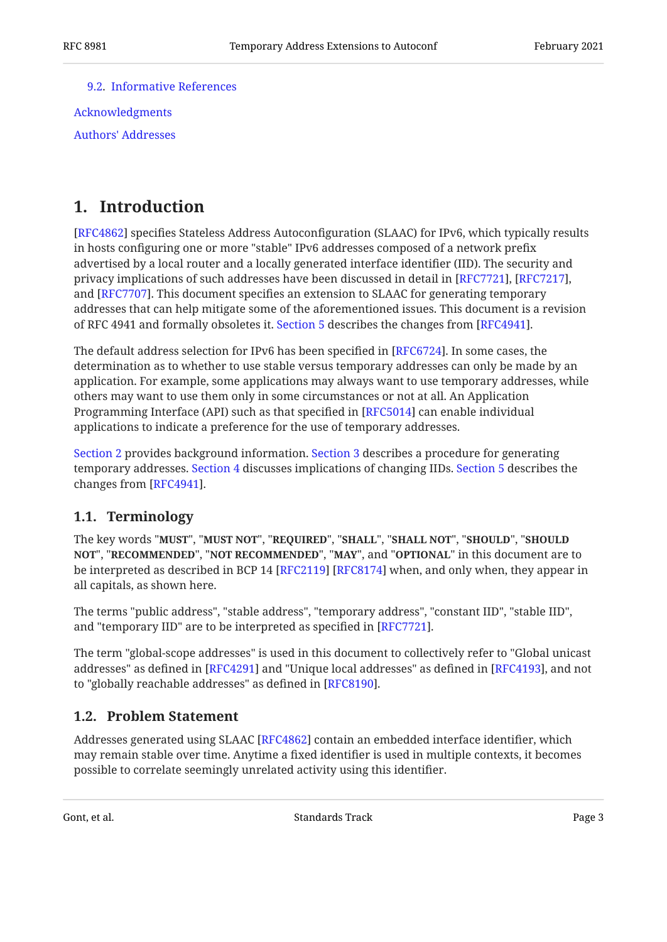[9.2.](#page-16-0) [Informative References](#page-16-0)

[Acknowledgments](#page-18-0) [Authors' Addresses](#page-18-1)

## <span id="page-2-0"></span>**[1. Introduction](#page-2-0)**

[[RFC4862\]](#page-16-1) specifies Stateless Address Autoconfiguration (SLAAC) for IPv6, which typically results in hosts configuring one or more "stable" IPv6 addresses composed of a network prefix advertised by a local router and a locally generated interface identifier (IID). The security and privacy implications of such addresses have been discussed in detail in [RFC7721], [RFC7217], and [RFC7707]. This document specifies an extension to SLAAC for generating temporary addresses that can help mitigate some of the aforementioned issues. This document is a revision of RFC 4941 and formally obsoletes it. [Section 5](#page-14-0) describes the changes from [RFC4941].

The default address selection for IPv6 has been specified in [RFC6724]. In some cases, the determination as to whether to use stable versus temporary addresses can only be made by an application. For example, some applications may always want to use temporary addresses, while others may want to use them only in some circumstances or not at all. An Application Programming Interface (API) such as that specified in [\[RFC5014](#page-17-2)] can enable individual applications to indicate a preference for the use of temporary addresses.

[Section 2](#page-3-0) provides background information. [Section 3](#page-5-0) describes a procedure for generating temporary addresses. [Section 4](#page-12-0) discusses implications of changing IIDs. [Section 5](#page-14-0) describes the changes from  $[RFC4941]$ .

### <span id="page-2-1"></span>**[1.1. Terminology](#page-2-1)**

The key words "MUST", "MUST NOT", "REQUIRED", "SHALL", "SHALL NOT", "SHOULD", "SHOULD <code>NOT",</code> "<code>RECOMMENDED", "NOT RECOMMENDED", "MAY", and "OPTIONAL" in this document are to</code> be interpreted as described in BCP 14 [RFC2119] [RFC8174] when, and only when, they appear in all capitals, as shown here.

The terms "public address", "stable address", "temporary address", "constant IID", "stable IID", and "temporary IID" are to be interpreted as specified in [RFC7721].

The term "global-scope addresses" is used in this document to collectively refer to "Global unicast addresses" as defined in [RFC4291] and "Unique local addresses" as defined in [RFC4193], and not to "globally reachable addresses" as defined in [RFC8190].

### <span id="page-2-2"></span>**[1.2. Problem Statement](#page-2-2)**

Addresses generated using SLAAC [RFC4862] contain an embedded interface identifier, which may remain stable over time. Anytime a fixed identifier is used in multiple contexts, it becomes possible to correlate seemingly unrelated activity using this identifier.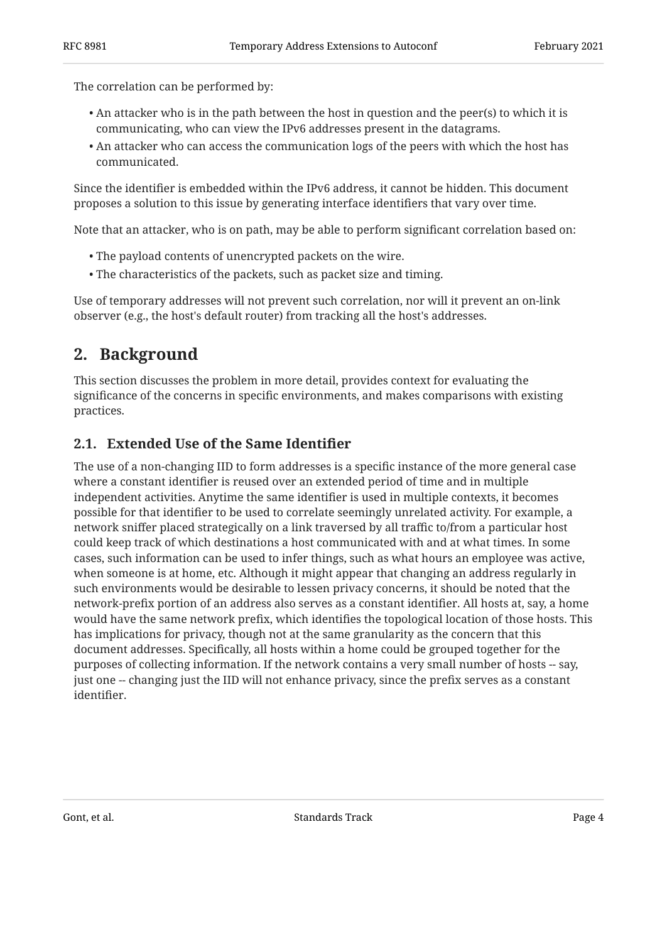The correlation can be performed by:

- $\bullet$  An attacker who is in the path between the host in question and the peer(s) to which it is communicating, who can view the IPv6 addresses present in the datagrams.
- $\bullet$  An attacker who can access the communication logs of the peers with which the host has communicated.

Since the identifier is embedded within the IPv6 address, it cannot be hidden. This document proposes a solution to this issue by generating interface identifiers that vary over time.

Note that an attacker, who is on path, may be able to perform significant correlation based on:

- The payload contents of unencrypted packets on the wire. •
- The characteristics of the packets, such as packet size and timing. •

<span id="page-3-0"></span>Use of temporary addresses will not prevent such correlation, nor will it prevent an on-link observer (e.g., the host's default router) from tracking all the host's addresses.

## **[2. Background](#page-3-0)**

This section discusses the problem in more detail, provides context for evaluating the significance of the concerns in specific environments, and makes comparisons with existing practices.

### <span id="page-3-1"></span>**[2.1. Extended Use of the Same Identi](#page-3-1)fier**

The use of a non-changing IID to form addresses is a specific instance of the more general case where a constant identifier is reused over an extended period of time and in multiple independent activities. Anytime the same identifier is used in multiple contexts, it becomes possible for that identifier to be used to correlate seemingly unrelated activity. For example, a network sniffer placed strategically on a link traversed by all traffic to/from a particular host could keep track of which destinations a host communicated with and at what times. In some cases, such information can be used to infer things, such as what hours an employee was active, when someone is at home, etc. Although it might appear that changing an address regularly in such environments would be desirable to lessen privacy concerns, it should be noted that the network-prefix portion of an address also serves as a constant identifier. All hosts at, say, a home would have the same network prefix, which identifies the topological location of those hosts. This has implications for privacy, though not at the same granularity as the concern that this document addresses. Specifically, all hosts within a home could be grouped together for the purposes of collecting information. If the network contains a very small number of hosts -- say, just one -- changing just the IID will not enhance privacy, since the prefix serves as a constant identifier.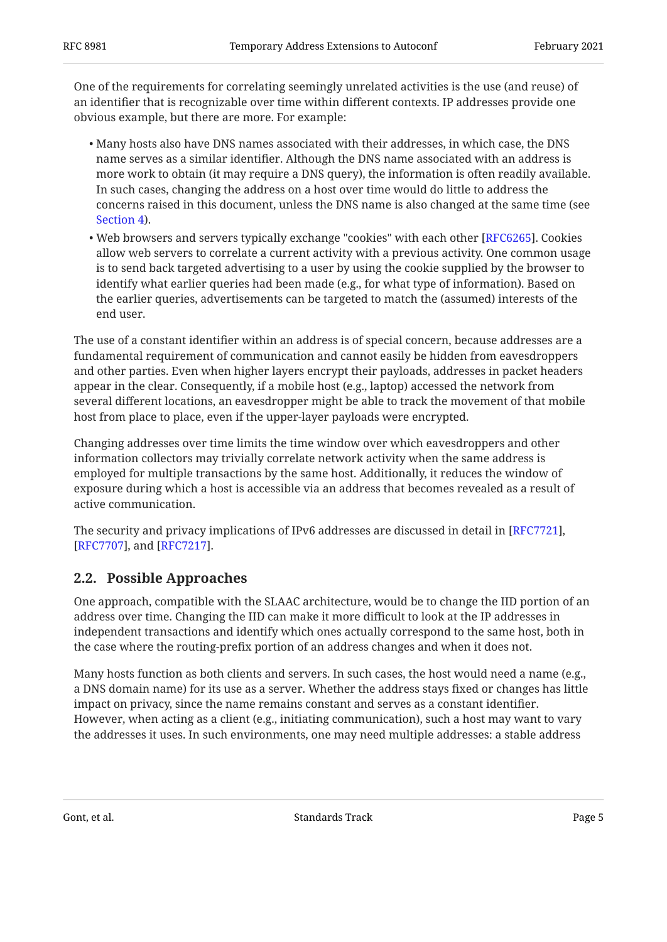One of the requirements for correlating seemingly unrelated activities is the use (and reuse) of an identifier that is recognizable over time within different contexts. IP addresses provide one obvious example, but there are more. For example:

- Many hosts also have DNS names associated with their addresses, in which case, the DNS name serves as a similar identifier. Although the DNS name associated with an address is more work to obtain (it may require a DNS query), the information is often readily available. In such cases, changing the address on a host over time would do little to address the concerns raised in this document, unless the DNS name is also changed at the same time (see [Section 4\)](#page-12-0).
- $\bullet$  Web browsers and servers typically exchange "cookies" with each other [RFC6265]. Cookies allow web servers to correlate a current activity with a previous activity. One common usage is to send back targeted advertising to a user by using the cookie supplied by the browser to identify what earlier queries had been made (e.g., for what type of information). Based on the earlier queries, advertisements can be targeted to match the (assumed) interests of the end user.

The use of a constant identifier within an address is of special concern, because addresses are a fundamental requirement of communication and cannot easily be hidden from eavesdroppers and other parties. Even when higher layers encrypt their payloads, addresses in packet headers appear in the clear. Consequently, if a mobile host (e.g., laptop) accessed the network from several different locations, an eavesdropper might be able to track the movement of that mobile host from place to place, even if the upper-layer payloads were encrypted.

Changing addresses over time limits the time window over which eavesdroppers and other information collectors may trivially correlate network activity when the same address is employed for multiple transactions by the same host. Additionally, it reduces the window of exposure during which a host is accessible via an address that becomes revealed as a result of active communication.

The security and privacy implications of IPv6 addresses are discussed in detail in [[RFC7721\]](#page-18-2), [[RFC7707\]](#page-18-3), and [[RFC7217\]](#page-17-0).

### <span id="page-4-0"></span>**[2.2. Possible Approaches](#page-4-0)**

One approach, compatible with the SLAAC architecture, would be to change the IID portion of an address over time. Changing the IID can make it more difficult to look at the IP addresses in independent transactions and identify which ones actually correspond to the same host, both in the case where the routing-prefix portion of an address changes and when it does not.

Many hosts function as both clients and servers. In such cases, the host would need a name (e.g., a DNS domain name) for its use as a server. Whether the address stays fixed or changes has little impact on privacy, since the name remains constant and serves as a constant identifier. However, when acting as a client (e.g., initiating communication), such a host may want to vary the addresses it uses. In such environments, one may need multiple addresses: a stable address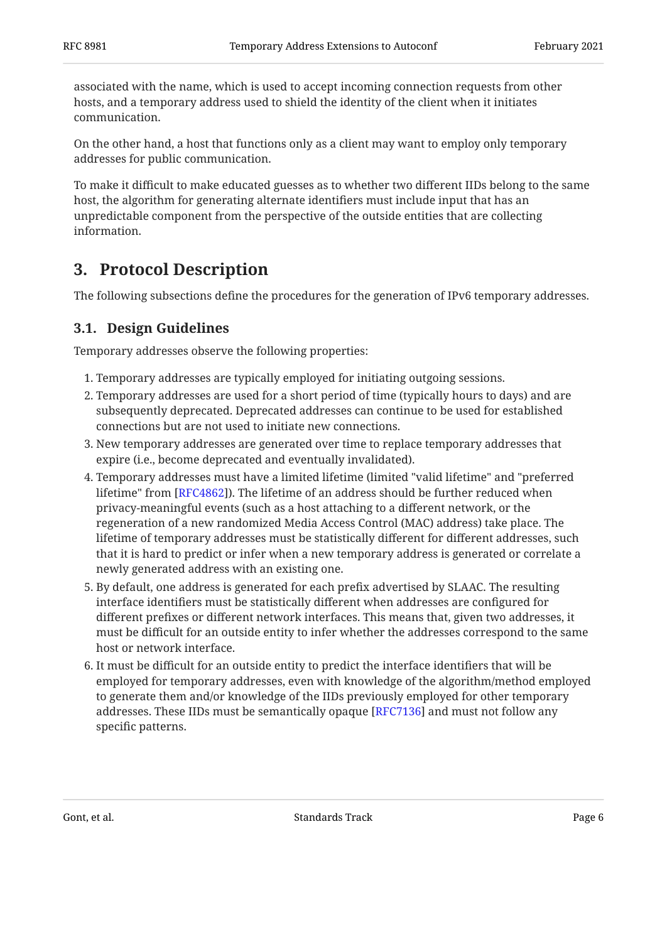associated with the name, which is used to accept incoming connection requests from other hosts, and a temporary address used to shield the identity of the client when it initiates communication.

On the other hand, a host that functions only as a client may want to employ only temporary addresses for public communication.

To make it difficult to make educated guesses as to whether two different IIDs belong to the same host, the algorithm for generating alternate identifiers must include input that has an unpredictable component from the perspective of the outside entities that are collecting information.

## <span id="page-5-0"></span>**[3. Protocol Description](#page-5-0)**

<span id="page-5-1"></span>The following subsections define the procedures for the generation of IPv6 temporary addresses.

### **[3.1. Design Guidelines](#page-5-1)**

Temporary addresses observe the following properties:

- Temporary addresses are typically employed for initiating outgoing sessions. 1.
- 2. Temporary addresses are used for a short period of time (typically hours to days) and are subsequently deprecated. Deprecated addresses can continue to be used for established connections but are not used to initiate new connections.
- 3. New temporary addresses are generated over time to replace temporary addresses that expire (i.e., become deprecated and eventually invalidated).
- Temporary addresses must have a limited lifetime (limited "valid lifetime" and "preferred 4. lifetime" from [\[RFC4862](#page-16-1)]). The lifetime of an address should be further reduced when privacy-meaningful events (such as a host attaching to a different network, or the regeneration of a new randomized Media Access Control (MAC) address) take place. The lifetime of temporary addresses must be statistically different for different addresses, such that it is hard to predict or infer when a new temporary address is generated or correlate a newly generated address with an existing one.
- 5. By default, one address is generated for each prefix advertised by SLAAC. The resulting interface identifiers must be statistically different when addresses are configured for different prefixes or different network interfaces. This means that, given two addresses, it must be difficult for an outside entity to infer whether the addresses correspond to the same host or network interface.
- 6. It must be difficult for an outside entity to predict the interface identifiers that will be employed for temporary addresses, even with knowledge of the algorithm/method employed to generate them and/or knowledge of the IIDs previously employed for other temporary addresses. These IIDs must be semantically opaque [RFC7136] and must not follow any specific patterns.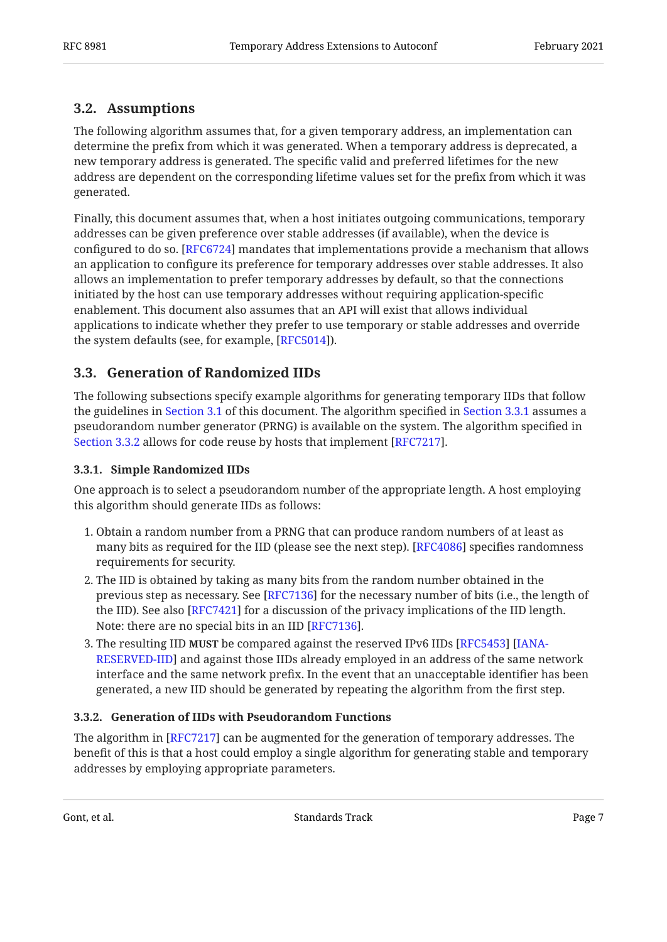### <span id="page-6-0"></span>**[3.2. Assumptions](#page-6-0)**

The following algorithm assumes that, for a given temporary address, an implementation can determine the prefix from which it was generated. When a temporary address is deprecated, a new temporary address is generated. The specific valid and preferred lifetimes for the new address are dependent on the corresponding lifetime values set for the prefix from which it was generated.

Finally, this document assumes that, when a host initiates outgoing communications, temporary addresses can be given preference over stable addresses (if available), when the device is configured to do so. [[RFC6724\]](#page-16-2) mandates that implementations provide a mechanism that allows an application to configure its preference for temporary addresses over stable addresses. It also allows an implementation to prefer temporary addresses by default, so that the connections initiated by the host can use temporary addresses without requiring application-specific enablement. This document also assumes that an API will exist that allows individual applications to indicate whether they prefer to use temporary or stable addresses and override the system defaults (see, for example, [RFC5014]).

### <span id="page-6-1"></span>**[3.3. Generation of Randomized IIDs](#page-6-1)**

The following subsections specify example algorithms for generating temporary IIDs that follow the guidelines in [Section 3.1](#page-5-1) of this document. The algorithm specified in [Section 3.3.1](#page-6-2) assumes a pseudorandom number generator (PRNG) is available on the system. The algorithm specified in [Section 3.3.2](#page-6-3) allows for code reuse by hosts that implement [[RFC7217\]](#page-17-0).

### <span id="page-6-2"></span>**[3.3.1. Simple Randomized IIDs](#page-6-2)**

One approach is to select a pseudorandom number of the appropriate length. A host employing this algorithm should generate IIDs as follows:

- 1. Obtain a random number from a PRNG that can produce random numbers of at least as many bits as required for the IID (please see the next step). [[RFC4086\]](#page-15-6) specifies randomness requirements for security.
- 2. The IID is obtained by taking as many bits from the random number obtained in the previous step as necessary. See [[RFC7136\]](#page-16-5) for the necessary number of bits (i.e., the length of the IID). See also [RFC7421] for a discussion of the privacy implications of the IID length. Note: there are no special bits in an IID [[RFC7136\]](#page-16-5).  $\,$
- 3. The resulting IID **MUST** be compared against the reserved IPv6 IIDs [[RFC5453\]](#page-16-6) [\[IANA-](#page-16-7)[RESERVED-IID\]](#page-16-7) and against those IIDs already employed in an address of the same network interface and the same network prefix. In the event that an unacceptable identifier has been generated, a new IID should be generated by repeating the algorithm from the first step.

### <span id="page-6-3"></span>**[3.3.2. Generation of IIDs with Pseudorandom Functions](#page-6-3)**

The algorithm in [RFC7217] can be augmented for the generation of temporary addresses. The  $\,$ benefit of this is that a host could employ a single algorithm for generating stable and temporary addresses by employing appropriate parameters.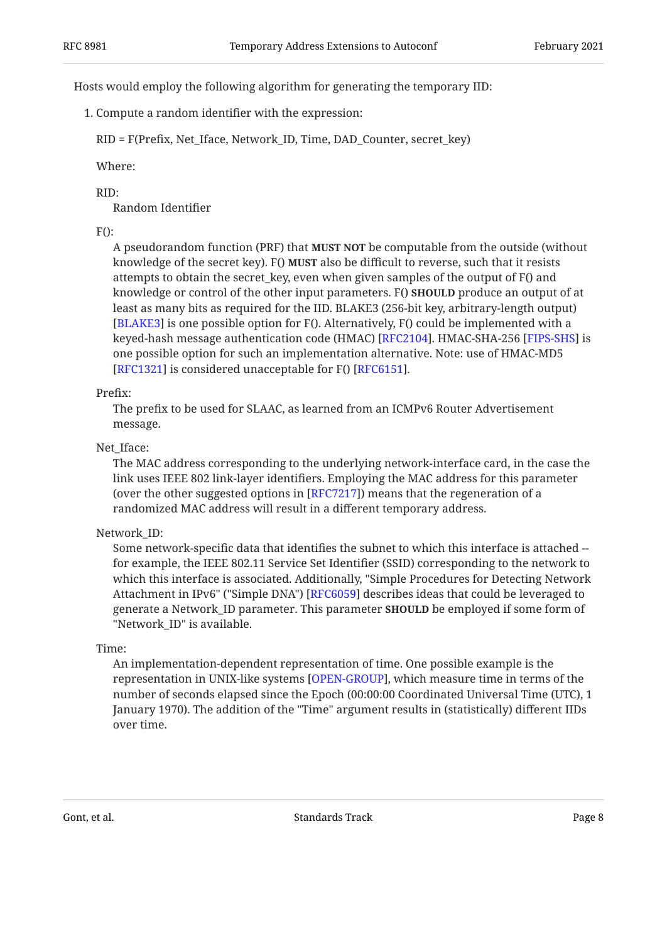Hosts would employ the following algorithm for generating the temporary IID:

1. Compute a random identifier with the expression:

RID = F(Prefix, Net\_Iface, Network\_ID, Time, DAD\_Counter, secret\_key)

Where:

#### RID:

Random Identifier

### $F()$ :

A pseudorandom function (PRF) that **MUST NOT** be computable from the outside (without knowledge of the secret key). F() **MUST** also be difficult to reverse, such that it resists attempts to obtain the secret\_key, even when given samples of the output of F() and knowledge or control of the other input parameters. F() **SHOULD** produce an output of at least as many bits as required for the IID. BLAKE3 (256-bit key, arbitrary-length output) [[BLAKE3\]](#page-16-8) is one possible option for F(). Alternatively, F() could be implemented with a keyed-hash message authentication code (HMAC) [RFC2104]. HMAC-SHA-256 [FIPS-SHS] is one possible option for such an implementation alternative. Note: use of HMAC-MD5  $[RFC1321]$  $[RFC1321]$  is considered unacceptable for  $F()$   $[RFC6151]$ .

### Prefix:

The prefix to be used for SLAAC, as learned from an ICMPv6 Router Advertisement message.

#### Net Iface:

The MAC address corresponding to the underlying network-interface card, in the case the link uses IEEE 802 link-layer identifiers. Employing the MAC address for this parameter (over the other suggested options in [RFC7217]) means that the regeneration of a randomized MAC address will result in a different temporary address.

#### Network\_ID:

Some network-specific data that identifies the subnet to which this interface is attached - for example, the IEEE 802.11 Service Set Identifier (SSID) corresponding to the network to which this interface is associated. Additionally, "Simple Procedures for Detecting Network Attachment in IPv6" ("Simple DNA") [RFC6059] describes ideas that could be leveraged to generate a Network\_ID parameter. This parameter **SHOULD** be employed if some form of "Network ID" is available.

#### Time:

An implementation-dependent representation of time. One possible example is the representation in UNIX-like systems [OPEN-GROUP], which measure time in terms of the number of seconds elapsed since the Epoch (00:00:00 Coordinated Universal Time (UTC), 1 January 1970). The addition of the "Time" argument results in (statistically) different IIDs over time.

Gont, et al. **Example 2** Standards Track Page 8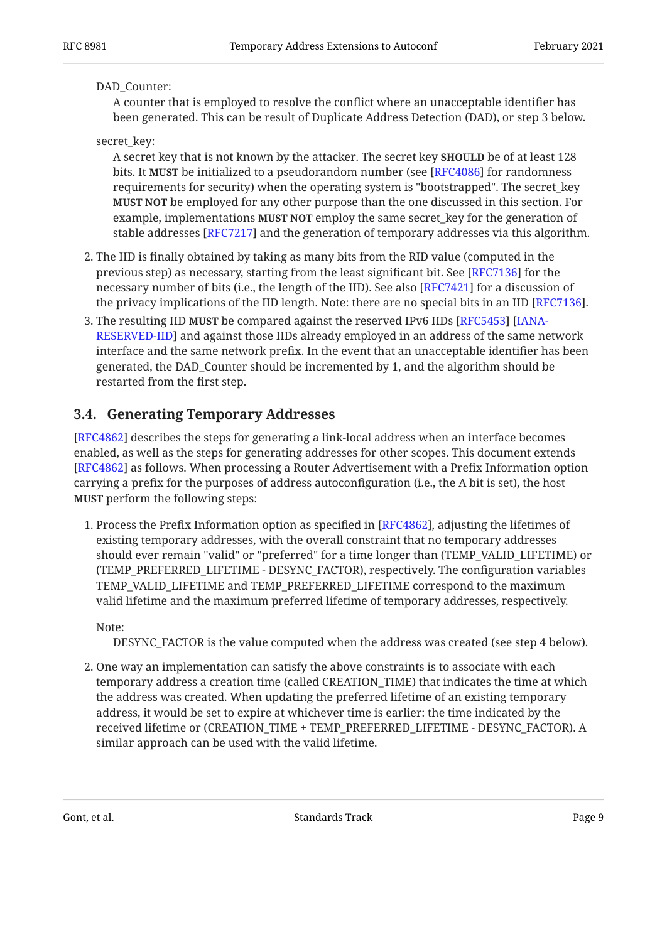#### DAD\_Counter:

A counter that is employed to resolve the conflict where an unacceptable identifier has been generated. This can be result of Duplicate Address Detection (DAD), or step 3 below.

### secret\_key:

A secret key that is not known by the attacker. The secret key **SHOULD** be of at least 128 bits. It **MUST** be initialized to a pseudorandom number (see [RFC4086] for randomness requirements for security) when the operating system is "bootstrapped". The secret\_key **MUST NOT** be employed for any other purpose than the one discussed in this section. For example, implementations **MUST NOT** employ the same secret\_key for the generation of stable addresses [RFC7217] and the generation of temporary addresses via this algorithm.

- 2. The IID is finally obtained by taking as many bits from the RID value (computed in the previous step) as necessary, starting from the least significant bit. See [RFC7136] for the necessary number of bits (i.e., the length of the IID). See also [RFC7421] for a discussion of the privacy implications of the IID length. Note: there are no special bits in an IID [RFC7136].
- 3. The resulting IID **MUST** be compared against the reserved IPv6 IIDs [[RFC5453\]](#page-16-6) [\[IANA-](#page-16-7)[RESERVED-IID\]](#page-16-7) and against those IIDs already employed in an address of the same network interface and the same network prefix. In the event that an unacceptable identifier has been generated, the DAD\_Counter should be incremented by 1, and the algorithm should be restarted from the first step.

### <span id="page-8-0"></span>**[3.4. Generating Temporary Addresses](#page-8-0)**

[[RFC4862\]](#page-16-1) describes the steps for generating a link-local address when an interface becomes enabled, as well as the steps for generating addresses for other scopes. This document extends [[RFC4862\]](#page-16-1) as follows. When processing a Router Advertisement with a Prefix Information option carrying a prefix for the purposes of address autoconfiguration (i.e., the A bit is set), the host **MUST** perform the following steps:

1. Process the Prefix Information option as specified in [RFC4862], adjusting the lifetimes of existing temporary addresses, with the overall constraint that no temporary addresses should ever remain "valid" or "preferred" for a time longer than (TEMP\_VALID\_LIFETIME) or (TEMP\_PREFERRED\_LIFETIME - DESYNC\_FACTOR), respectively. The configuration variables TEMP\_VALID\_LIFETIME and TEMP\_PREFERRED\_LIFETIME correspond to the maximum valid lifetime and the maximum preferred lifetime of temporary addresses, respectively.

Note:

DESYNC\_FACTOR is the value computed when the address was created (see step 4 below).

2. One way an implementation can satisfy the above constraints is to associate with each temporary address a creation time (called CREATION\_TIME) that indicates the time at which the address was created. When updating the preferred lifetime of an existing temporary address, it would be set to expire at whichever time is earlier: the time indicated by the received lifetime or (CREATION\_TIME + TEMP\_PREFERRED\_LIFETIME - DESYNC\_FACTOR). A similar approach can be used with the valid lifetime.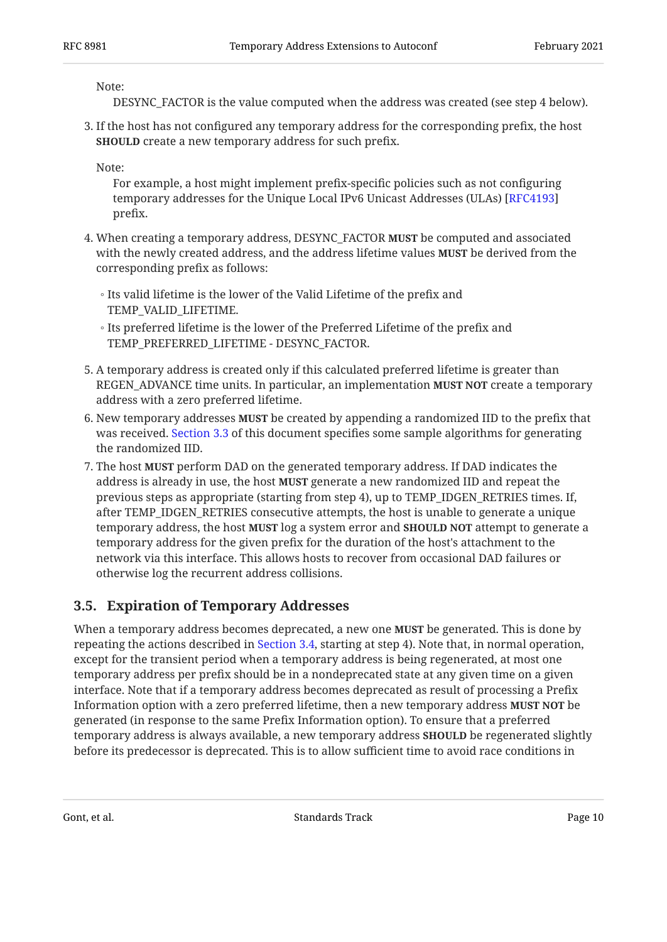Note:

DESYNC\_FACTOR is the value computed when the address was created (see step 4 below).

3. If the host has not configured any temporary address for the corresponding prefix, the host **SHOULD** create a new temporary address for such prefix.

Note:

For example, a host might implement prefix-specific policies such as not configuring temporary addresses for the Unique Local IPv6 Unicast Addresses (ULAs) [\[RFC4193](#page-15-5)] prefix.

- 4. When creating a temporary address, DESYNC\_FACTOR **MUST** be computed and associated with the newly created address, and the address lifetime values **MUST** be derived from the corresponding prefix as follows:
	- Its valid lifetime is the lower of the Valid Lifetime of the prefix and TEMP\_VALID\_LIFETIME.
	- Its preferred lifetime is the lower of the Preferred Lifetime of the prefix and TEMP\_PREFERRED\_LIFETIME - DESYNC\_FACTOR.
- 5. A temporary address is created only if this calculated preferred lifetime is greater than  ${\rm REGEN\_ADVANCE}$  time units. In particular, an implementation **MUST NOT** create a temporary address with a zero preferred lifetime.
- 6. New temporary addresses **MUST** be created by appending a randomized IID to the prefix that was received. [Section 3.3](#page-6-1) of this document specifies some sample algorithms for generating the randomized IID.
- 7. The host **MUST** perform DAD on the generated temporary address. If DAD indicates the address is already in use, the host **MUST** generate a new randomized IID and repeat the previous steps as appropriate (starting from step 4), up to TEMP\_IDGEN\_RETRIES times. If, after TEMP\_IDGEN\_RETRIES consecutive attempts, the host is unable to generate a unique temporary address, the host **MUST** log a system error and **SHOULD NOT** attempt to generate a temporary address for the given prefix for the duration of the host's attachment to the network via this interface. This allows hosts to recover from occasional DAD failures or otherwise log the recurrent address collisions.

### <span id="page-9-0"></span>**[3.5. Expiration of Temporary Addresses](#page-9-0)**

When a temporary address becomes deprecated, a new one **MUST** be generated. This is done by repeating the actions described in [Section 3.4,](#page-8-0) starting at step 4). Note that, in normal operation, except for the transient period when a temporary address is being regenerated, at most one temporary address per prefix should be in a nondeprecated state at any given time on a given interface. Note that if a temporary address becomes deprecated as result of processing a Prefix Information option with a zero preferred lifetime, then a new temporary address **MUST NOT** be generated (in response to the same Prefix Information option). To ensure that a preferred temporary address is always available, a new temporary address **SHOULD** be regenerated slightly before its predecessor is deprecated. This is to allow sufficient time to avoid race conditions in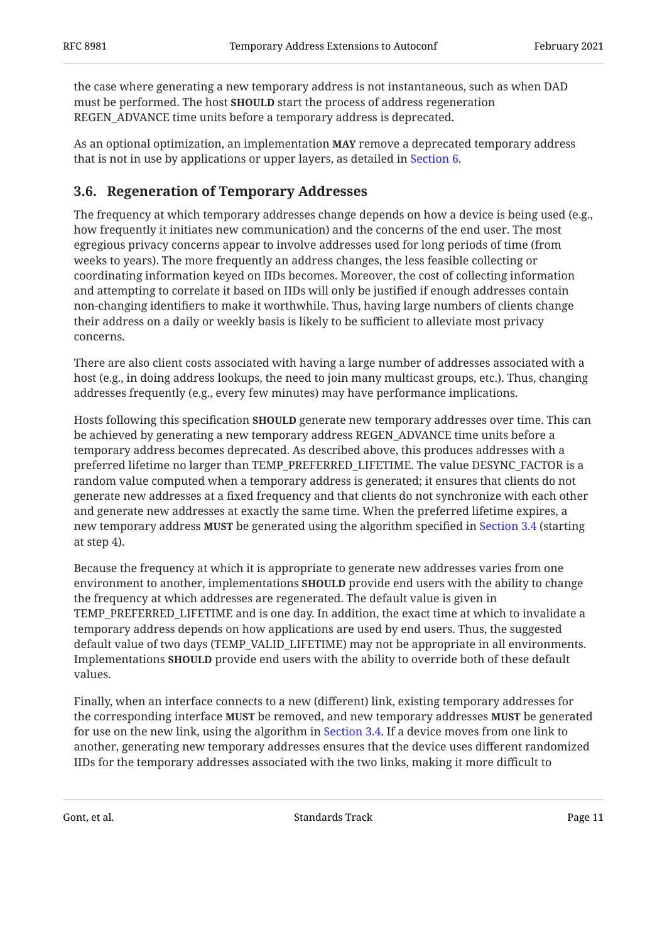the case where generating a new temporary address is not instantaneous, such as when DAD must be performed. The host **SHOULD** start the process of address regeneration REGEN\_ADVANCE time units before a temporary address is deprecated.

As an optional optimization, an implementation **MAY** remove a deprecated temporary address that is not in use by applications or upper layers, as detailed in [Section 6](#page-14-1).

### <span id="page-10-0"></span>**[3.6. Regeneration of Temporary Addresses](#page-10-0)**

The frequency at which temporary addresses change depends on how a device is being used (e.g., how frequently it initiates new communication) and the concerns of the end user. The most egregious privacy concerns appear to involve addresses used for long periods of time (from weeks to years). The more frequently an address changes, the less feasible collecting or coordinating information keyed on IIDs becomes. Moreover, the cost of collecting information and attempting to correlate it based on IIDs will only be justified if enough addresses contain non-changing identifiers to make it worthwhile. Thus, having large numbers of clients change their address on a daily or weekly basis is likely to be sufficient to alleviate most privacy concerns.

There are also client costs associated with having a large number of addresses associated with a host (e.g., in doing address lookups, the need to join many multicast groups, etc.). Thus, changing addresses frequently (e.g., every few minutes) may have performance implications.

Hosts following this specification **SHOULD** generate new temporary addresses over time. This can be achieved by generating a new temporary address REGEN\_ADVANCE time units before a temporary address becomes deprecated. As described above, this produces addresses with a preferred lifetime no larger than TEMP\_PREFERRED\_LIFETIME. The value DESYNC\_FACTOR is a random value computed when a temporary address is generated; it ensures that clients do not generate new addresses at a fixed frequency and that clients do not synchronize with each other and generate new addresses at exactly the same time. When the preferred lifetime expires, a new temporary address **MUST** be generated using the algorithm specified in [Section 3.4](#page-8-0) (starting at step 4).

Because the frequency at which it is appropriate to generate new addresses varies from one environment to another, implementations **SHOULD** provide end users with the ability to change the frequency at which addresses are regenerated. The default value is given in TEMP\_PREFERRED\_LIFETIME and is one day. In addition, the exact time at which to invalidate a temporary address depends on how applications are used by end users. Thus, the suggested default value of two days (TEMP\_VALID\_LIFETIME) may not be appropriate in all environments. Implementations **SHOULD** provide end users with the ability to override both of these default values.

Finally, when an interface connects to a new (different) link, existing temporary addresses for the corresponding interface MUST be removed, and new temporary addresses MUST be generated for use on the new link, using the algorithm in [Section 3.4](#page-8-0). If a device moves from one link to another, generating new temporary addresses ensures that the device uses different randomized IIDs for the temporary addresses associated with the two links, making it more difficult to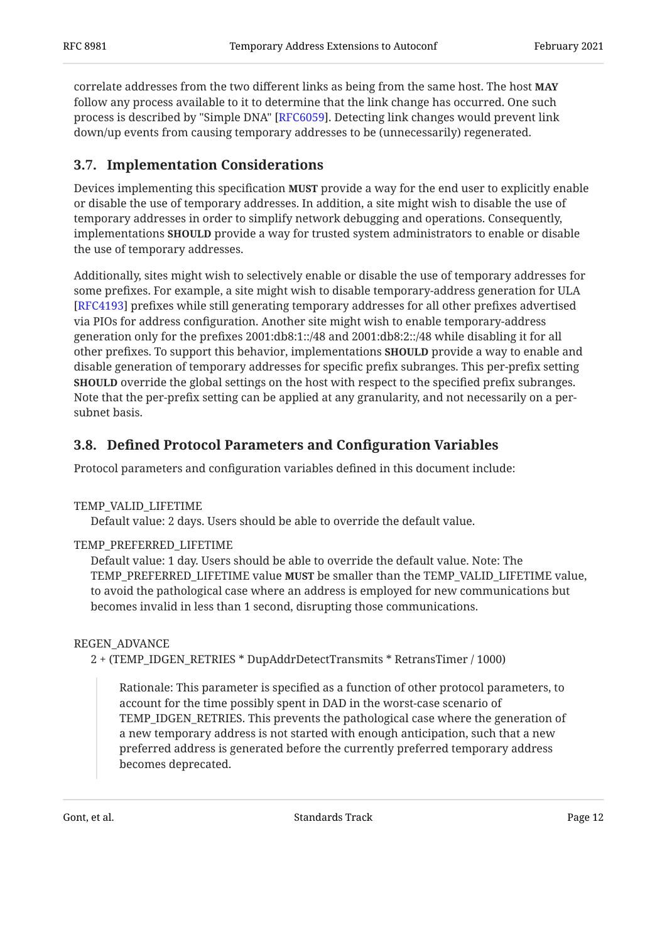correlate addresses from the two different links as being from the same host. The host **MAY** follow any process available to it to determine that the link change has occurred. One such process is described by "Simple DNA" [RFC6059]. Detecting link changes would prevent link down/up events from causing temporary addresses to be (unnecessarily) regenerated.

### <span id="page-11-0"></span>**[3.7. Implementation Considerations](#page-11-0)**

Devices implementing this specification **MUST** provide a way for the end user to explicitly enable or disable the use of temporary addresses. In addition, a site might wish to disable the use of temporary addresses in order to simplify network debugging and operations. Consequently, implementations **SHOULD** provide a way for trusted system administrators to enable or disable the use of temporary addresses.

Additionally, sites might wish to selectively enable or disable the use of temporary addresses for some prefixes. For example, a site might wish to disable temporary-address generation for ULA [[RFC4193\]](#page-15-5) prefixes while still generating temporary addresses for all other prefixes advertised via PIOs for address configuration. Another site might wish to enable temporary-address generation only for the prefixes 2001:db8:1::/48 and 2001:db8:2::/48 while disabling it for all other prefixes. To support this behavior, implementations **SHOULD** provide a way to enable and disable generation of temporary addresses for specific prefix subranges. This per-prefix setting **SHOULD** override the global settings on the host with respect to the specified prefix subranges. Note that the per-prefix setting can be applied at any granularity, and not necessarily on a persubnet basis.

### <span id="page-11-1"></span>**[3.8. D](#page-11-1)efi[ned Protocol Parameters and Con](#page-11-1)figuration Variables**

Protocol parameters and configuration variables defined in this document include:

### TEMP\_VALID\_LIFETIME

Default value: 2 days. Users should be able to override the default value.

### TEMP\_PREFERRED\_LIFETIME

Default value: 1 day. Users should be able to override the default value. Note: The TEMP\_PREFERRED\_LIFETIME value **MUST** be smaller than the TEMP\_VALID\_LIFETIME value, to avoid the pathological case where an address is employed for new communications but becomes invalid in less than 1 second, disrupting those communications.

### REGEN\_ADVANCE

2 + (TEMP\_IDGEN\_RETRIES \* DupAddrDetectTransmits \* RetransTimer / 1000)

Rationale: This parameter is specified as a function of other protocol parameters, to account for the time possibly spent in DAD in the worst-case scenario of TEMP\_IDGEN\_RETRIES. This prevents the pathological case where the generation of a new temporary address is not started with enough anticipation, such that a new preferred address is generated before the currently preferred temporary address becomes deprecated.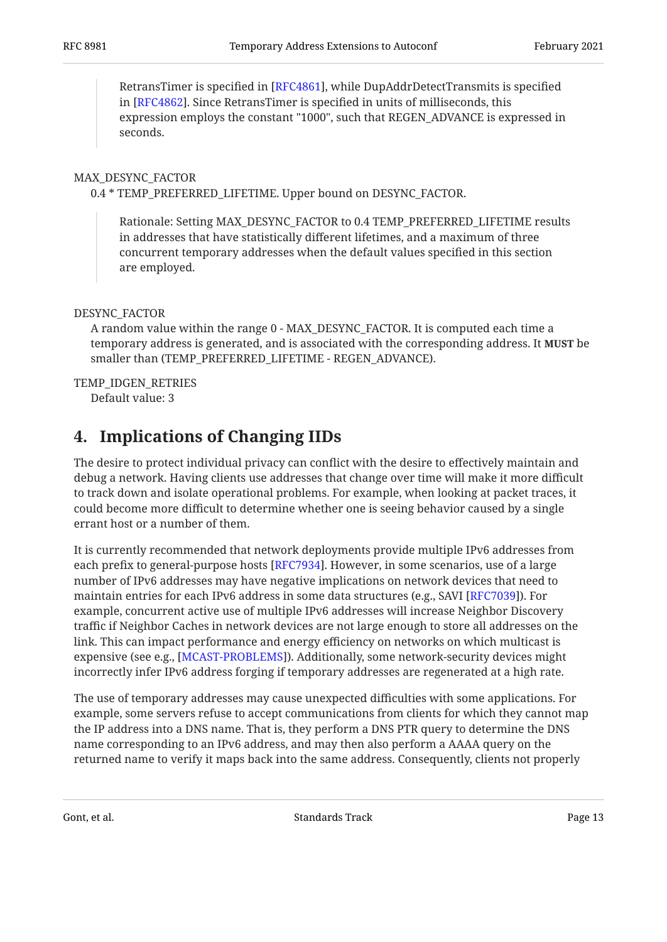RetransTimer is specified in [RFC4861], while DupAddrDetectTransmits is specified in [RFC4862]. Since RetransTimer is specified in units of milliseconds, this expression employs the constant "1000", such that REGEN\_ADVANCE is expressed in seconds.

#### MAX\_DESYNC\_FACTOR

0.4 \* TEMP\_PREFERRED\_LIFETIME. Upper bound on DESYNC\_FACTOR.

Rationale: Setting MAX\_DESYNC\_FACTOR to 0.4 TEMP\_PREFERRED\_LIFETIME results in addresses that have statistically different lifetimes, and a maximum of three concurrent temporary addresses when the default values specified in this section are employed.

#### DESYNC\_FACTOR

A random value within the range 0 - MAX\_DESYNC\_FACTOR. It is computed each time a temporary address is generated, and is associated with the corresponding address. It **MUST** be smaller than (TEMP\_PREFERRED\_LIFETIME - REGEN\_ADVANCE).

#### TEMP\_IDGEN\_RETRIES

<span id="page-12-0"></span>Default value: 3

## **[4. Implications of Changing IIDs](#page-12-0)**

The desire to protect individual privacy can conflict with the desire to effectively maintain and debug a network. Having clients use addresses that change over time will make it more difficult to track down and isolate operational problems. For example, when looking at packet traces, it could become more difficult to determine whether one is seeing behavior caused by a single errant host or a number of them.

It is currently recommended that network deployments provide multiple IPv6 addresses from each prefix to general-purpose hosts [\[RFC7934](#page-18-5)]. However, in some scenarios, use of a large number of IPv6 addresses may have negative implications on network devices that need to maintain entries for each IPv6 address in some data structures (e.g., SAVI [RFC7039]). For example, concurrent active use of multiple IPv6 addresses will increase Neighbor Discovery traffic if Neighbor Caches in network devices are not large enough to store all addresses on the link. This can impact performance and energy efficiency on networks on which multicast is expensive (see e.g., [MCAST-PROBLEMS]). Additionally, some network-security devices might incorrectly infer IPv6 address forging if temporary addresses are regenerated at a high rate.

The use of temporary addresses may cause unexpected difficulties with some applications. For example, some servers refuse to accept communications from clients for which they cannot map the IP address into a DNS name. That is, they perform a DNS PTR query to determine the DNS name corresponding to an IPv6 address, and may then also perform a AAAA query on the returned name to verify it maps back into the same address. Consequently, clients not properly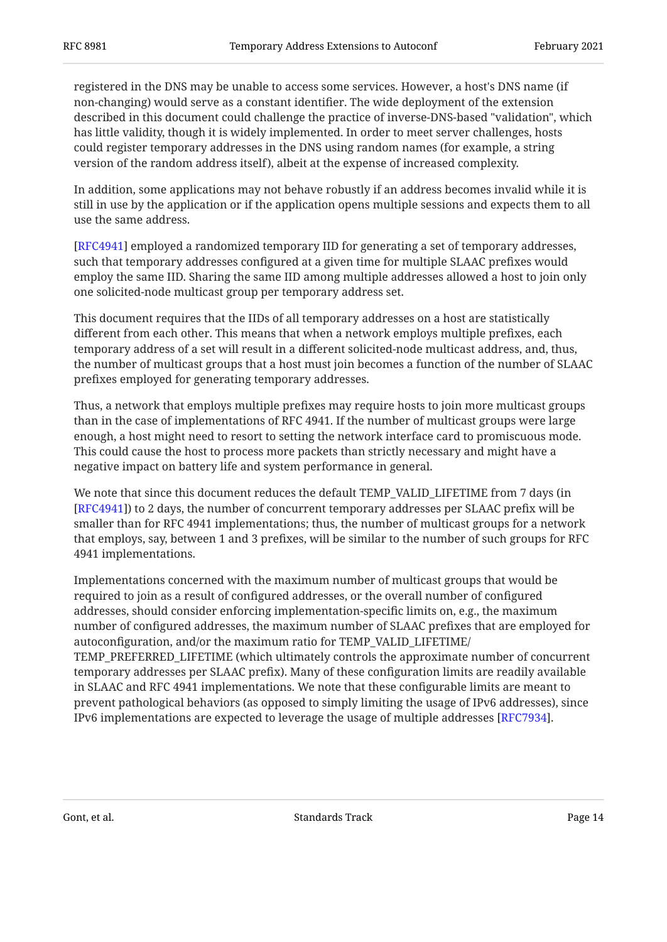registered in the DNS may be unable to access some services. However, a host's DNS name (if non-changing) would serve as a constant identifier. The wide deployment of the extension described in this document could challenge the practice of inverse-DNS-based "validation", which has little validity, though it is widely implemented. In order to meet server challenges, hosts could register temporary addresses in the DNS using random names (for example, a string version of the random address itself), albeit at the expense of increased complexity.

In addition, some applications may not behave robustly if an address becomes invalid while it is still in use by the application or if the application opens multiple sessions and expects them to all use the same address.

[[RFC4941\]](#page-17-1) employed a randomized temporary IID for generating a set of temporary addresses, such that temporary addresses configured at a given time for multiple SLAAC prefixes would employ the same IID. Sharing the same IID among multiple addresses allowed a host to join only one solicited-node multicast group per temporary address set.

This document requires that the IIDs of all temporary addresses on a host are statistically different from each other. This means that when a network employs multiple prefixes, each temporary address of a set will result in a different solicited-node multicast address, and, thus, the number of multicast groups that a host must join becomes a function of the number of SLAAC prefixes employed for generating temporary addresses.

Thus, a network that employs multiple prefixes may require hosts to join more multicast groups than in the case of implementations of RFC 4941. If the number of multicast groups were large enough, a host might need to resort to setting the network interface card to promiscuous mode. This could cause the host to process more packets than strictly necessary and might have a negative impact on battery life and system performance in general.

We note that since this document reduces the default TEMP\_VALID\_LIFETIME from 7 days (in [[RFC4941\]](#page-17-1)) to 2 days, the number of concurrent temporary addresses per SLAAC prefix will be smaller than for RFC 4941 implementations; thus, the number of multicast groups for a network that employs, say, between 1 and 3 prefixes, will be similar to the number of such groups for RFC 4941 implementations.

Implementations concerned with the maximum number of multicast groups that would be required to join as a result of configured addresses, or the overall number of configured addresses, should consider enforcing implementation-specific limits on, e.g., the maximum number of configured addresses, the maximum number of SLAAC prefixes that are employed for autoconfiguration, and/or the maximum ratio for TEMP\_VALID\_LIFETIME/ TEMP\_PREFERRED\_LIFETIME (which ultimately controls the approximate number of concurrent temporary addresses per SLAAC prefix). Many of these configuration limits are readily available in SLAAC and RFC 4941 implementations. We note that these configurable limits are meant to prevent pathological behaviors (as opposed to simply limiting the usage of IPv6 addresses), since IPv6 implementations are expected to leverage the usage of multiple addresses [\[RFC7934](#page-18-5)].  $\,$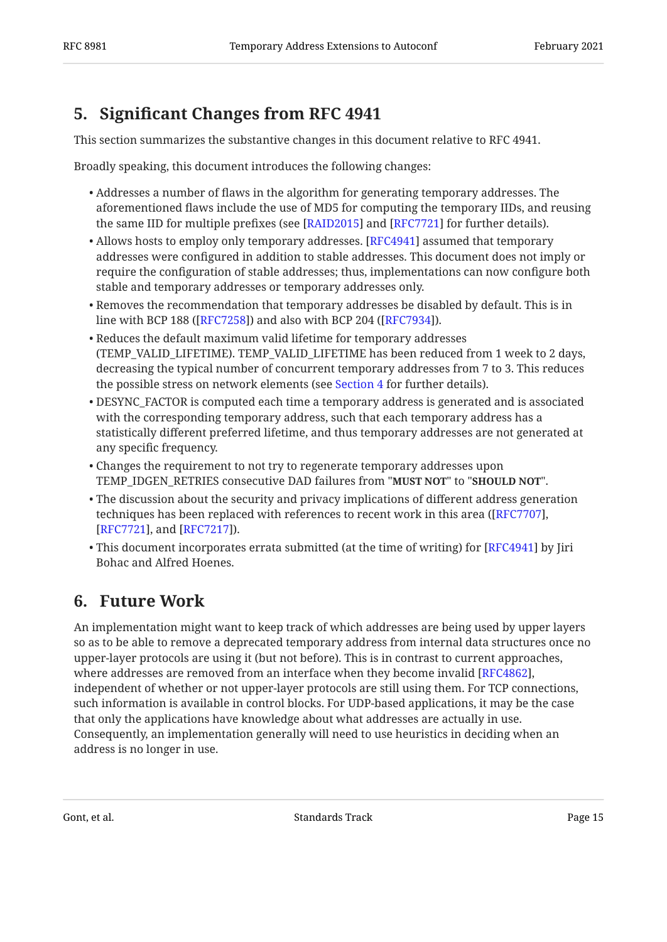## <span id="page-14-0"></span>**[5.](#page-14-0) Signifi[cant Changes from RFC 4941](#page-14-0)**

This section summarizes the substantive changes in this document relative to RFC 4941.

Broadly speaking, this document introduces the following changes:

- Addresses a number of flaws in the algorithm for generating temporary addresses. The aforementioned flaws include the use of MD5 for computing the temporary IIDs, and reusing the same IID for multiple prefixes (see [[RAID2015\]](#page-17-11) and [[RFC7721\]](#page-18-2) for further details).
- $\bullet$  Allows hosts to employ only temporary addresses. [RFC4941] assumed that temporary addresses were configured in addition to stable addresses. This document does not imply or require the configuration of stable addresses; thus, implementations can now configure both stable and temporary addresses or temporary addresses only.
- $\bullet$  Removes the recommendation that temporary addresses be disabled by default. This is in line with BCP 188 ([RFC7258]) and also with BCP 204 ([RFC7934]).
- Reduces the default maximum valid lifetime for temporary addresses (TEMP\_VALID\_LIFETIME). TEMP\_VALID\_LIFETIME has been reduced from 1 week to 2 days, decreasing the typical number of concurrent temporary addresses from 7 to 3. This reduces the possible stress on network elements (see [Section 4](#page-12-0) for further details).
- DESYNC\_FACTOR is computed each time a temporary address is generated and is associated with the corresponding temporary address, such that each temporary address has a statistically different preferred lifetime, and thus temporary addresses are not generated at any specific frequency.
- Changes the requirement to not try to regenerate temporary addresses upon TEMP\_IDGEN\_RETRIES consecutive DAD failures from "**MUST NOT"** to "**SHOULD NOT"**.
- $\bullet$  The discussion about the security and privacy implications of different address generation techniques has been replaced with references to recent work in this area ([RFC7707], [[RFC7721\]](#page-18-2), and [RFC7217]).
- $\bullet$  This document incorporates errata submitted (at the time of writing) for [[RFC4941\]](#page-17-1) by Jiri Bohac and Alfred Hoenes.

## <span id="page-14-1"></span>**[6. Future Work](#page-14-1)**

An implementation might want to keep track of which addresses are being used by upper layers so as to be able to remove a deprecated temporary address from internal data structures once no upper-layer protocols are using it (but not before). This is in contrast to current approaches, where addresses are removed from an interface when they become invalid [RFC4862],  $\,$ independent of whether or not upper-layer protocols are still using them. For TCP connections, such information is available in control blocks. For UDP-based applications, it may be the case that only the applications have knowledge about what addresses are actually in use. Consequently, an implementation generally will need to use heuristics in deciding when an address is no longer in use.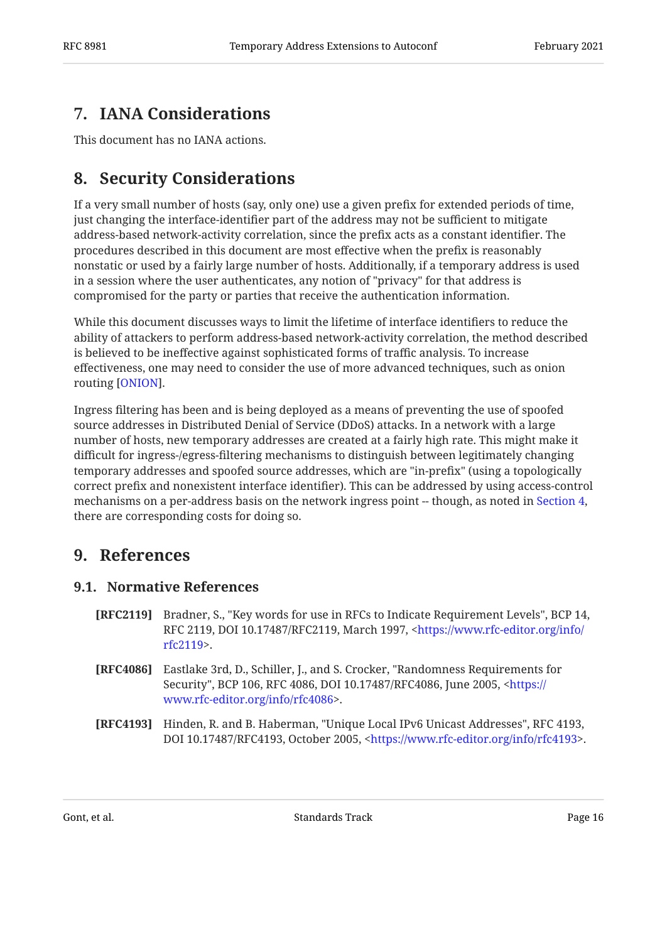## <span id="page-15-0"></span>**[7. IANA Considerations](#page-15-0)**

<span id="page-15-1"></span>This document has no IANA actions.

## **[8. Security Considerations](#page-15-1)**

If a very small number of hosts (say, only one) use a given prefix for extended periods of time, just changing the interface-identifier part of the address may not be sufficient to mitigate address-based network-activity correlation, since the prefix acts as a constant identifier. The procedures described in this document are most effective when the prefix is reasonably nonstatic or used by a fairly large number of hosts. Additionally, if a temporary address is used in a session where the user authenticates, any notion of "privacy" for that address is compromised for the party or parties that receive the authentication information.

While this document discusses ways to limit the lifetime of interface identifiers to reduce the ability of attackers to perform address-based network-activity correlation, the method described is believed to be ineffective against sophisticated forms of traffic analysis. To increase effectiveness, one may need to consider the use of more advanced techniques, such as onion routing [ONION].

Ingress filtering has been and is being deployed as a means of preventing the use of spoofed source addresses in Distributed Denial of Service (DDoS) attacks. In a network with a large number of hosts, new temporary addresses are created at a fairly high rate. This might make it difficult for ingress-/egress-filtering mechanisms to distinguish between legitimately changing temporary addresses and spoofed source addresses, which are "in-prefix" (using a topologically correct prefix and nonexistent interface identifier). This can be addressed by using access-control mechanisms on a per-address basis on the network ingress point -- though, as noted in [Section 4](#page-12-0), there are corresponding costs for doing so.

### <span id="page-15-3"></span><span id="page-15-2"></span>**[9. References](#page-15-2)**

### **[9.1. Normative References](#page-15-3)**

- <span id="page-15-4"></span>**[RFC2119]** Bradner, S., "Key words for use in RFCs to Indicate Requirement Levels", BCP 14, RFC 2119, DOI 10.17487/RFC2119, March 1997, <[https://www.rfc-editor.org/info/](https://www.rfc-editor.org/info/rfc2119) . [rfc2119>](https://www.rfc-editor.org/info/rfc2119)
- <span id="page-15-6"></span>**[RFC4086]** Eastlake 3rd, D., Schiller, J., and S. Crocker, "Randomness Requirements for Security", BCP 106, RFC 4086, DOI 10.17487/RFC4086, June 2005, <[https://](https://www.rfc-editor.org/info/rfc4086) . [www.rfc-editor.org/info/rfc4086>](https://www.rfc-editor.org/info/rfc4086)
- <span id="page-15-5"></span>**[RFC4193]** Hinden, R. and B. Haberman, "Unique Local IPv6 Unicast Addresses", RFC 4193, DOI 10.17487/RFC4193, October 2005, <https://www.rfc-editor.org/info/rfc4193>.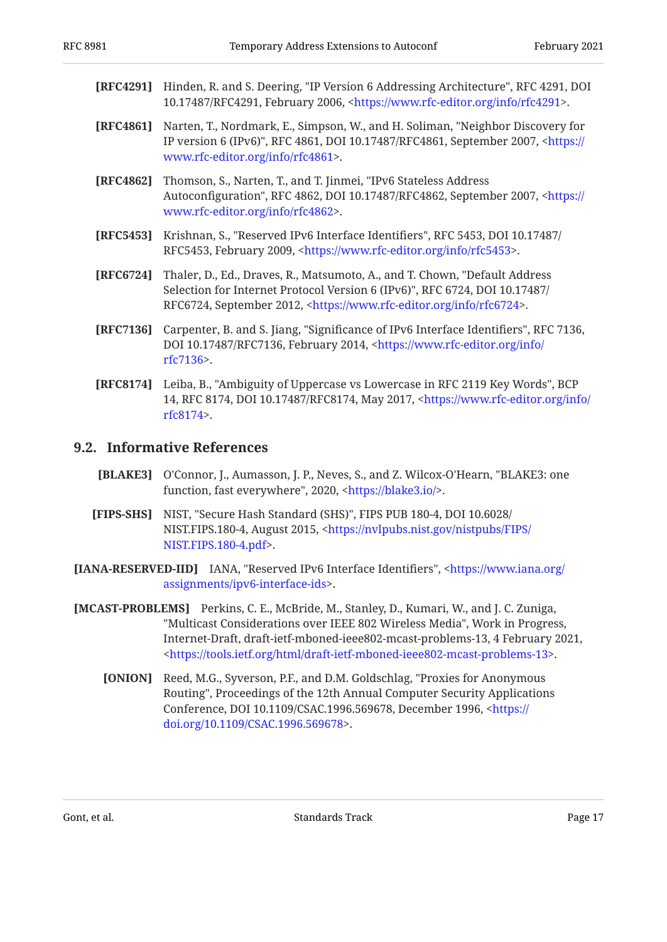- <span id="page-16-4"></span>**[RFC4291]** Hinden, R. and S. Deering, "IP Version 6 Addressing Architecture", RFC 4291, DOI 10.17487/RFC4291, February 2006, <https://www.rfc-editor.org/info/rfc4291>.
- <span id="page-16-10"></span>**[RFC4861]** Narten, T., Nordmark, E., Simpson, W., and H. Soliman, "Neighbor Discovery for IP version 6 (IPv6)", RFC 4861, DOI 10.17487/RFC4861, September 2007, [<https://](https://www.rfc-editor.org/info/rfc4861) . [www.rfc-editor.org/info/rfc4861>](https://www.rfc-editor.org/info/rfc4861)
- <span id="page-16-1"></span>**[RFC4862]** Thomson, S., Narten, T., and T. Jinmei, "IPv6 Stateless Address Autoconfiguration", RFC 4862, DOI 10.17487/RFC4862, September 2007, [<https://](https://www.rfc-editor.org/info/rfc4862) . [www.rfc-editor.org/info/rfc4862>](https://www.rfc-editor.org/info/rfc4862)
- <span id="page-16-6"></span>**[RFC5453]** Krishnan, S., "Reserved IPv6 Interface Identifiers", RFC 5453, DOI 10.17487/ RFC5453, February 2009, <https://www.rfc-editor.org/info/rfc5453>.
- <span id="page-16-2"></span>**[RFC6724]** Thaler, D., Ed., Draves, R., Matsumoto, A., and T. Chown, "Default Address Selection for Internet Protocol Version 6 (IPv6)", RFC 6724, DOI 10.17487/ RFC6724, September 2012, <https://www.rfc-editor.org/info/rfc6724>.
- <span id="page-16-5"></span>**[RFC7136]** Carpenter, B. and S. Jiang, "Significance of IPv6 Interface Identifiers", RFC 7136, DOI 10.17487/RFC7136, February 2014, [<https://www.rfc-editor.org/info/](https://www.rfc-editor.org/info/rfc7136) . [rfc7136>](https://www.rfc-editor.org/info/rfc7136)
- <span id="page-16-3"></span>**[RFC8174]** Leiba, B., "Ambiguity of Uppercase vs Lowercase in RFC 2119 Key Words", BCP 14, RFC 8174, DOI 10.17487/RFC8174, May 2017, [<https://www.rfc-editor.org/info/](https://www.rfc-editor.org/info/rfc8174) . [rfc8174>](https://www.rfc-editor.org/info/rfc8174)

### <span id="page-16-0"></span>**[9.2. Informative References](#page-16-0)**

- <span id="page-16-8"></span>**[BLAKE3]** O'Connor, J., Aumasson, J. P., Neves, S., and Z. Wilcox-O'Hearn, "BLAKE3: one function, fast everywhere", 2020, <<https://blake3.io/>>.
- <span id="page-16-9"></span>**[FIPS-SHS]** NIST, "Secure Hash Standard (SHS)", FIPS PUB 180-4, DOI 10.6028/ NIST.FIPS.180-4, August 2015, <[https://nvlpubs.nist.gov/nistpubs/FIPS/](https://nvlpubs.nist.gov/nistpubs/FIPS/NIST.FIPS.180-4.pdf) . [NIST.FIPS.180-4.pdf>](https://nvlpubs.nist.gov/nistpubs/FIPS/NIST.FIPS.180-4.pdf)
- <span id="page-16-7"></span>**[IANA-RESERVED-IID]** IANA, "Reserved IPv6 Interface Identifiers", <[https://www.iana.org/](https://www.iana.org/assignments/ipv6-interface-ids) . [assignments/ipv6-interface-ids](https://www.iana.org/assignments/ipv6-interface-ids)>
- <span id="page-16-12"></span><span id="page-16-11"></span>**[MCAST-PROBLEMS]** Perkins, C. E., McBride, M., Stanley, D., Kumari, W., and J. C. Zuniga, "Multicast Considerations over IEEE 802 Wireless Media", Work in Progress, Internet-Draft, draft-ietf-mboned-ieee802-mcast-problems-13, 4 February 2021, . [<https://tools.ietf.org/html/draft-ietf-mboned-ieee802-mcast-problems-13](https://tools.ietf.org/html/draft-ietf-mboned-ieee802-mcast-problems-13)>
	- **[ONION]** Reed, M.G., Syverson, P.F., and D.M. Goldschlag, "Proxies for Anonymous Routing", Proceedings of the 12th Annual Computer Security Applications Conference, DOI 10.1109/CSAC.1996.569678, December 1996, <[https://](https://doi.org/10.1109/CSAC.1996.569678) . [doi.org/10.1109/CSAC.1996.569678>](https://doi.org/10.1109/CSAC.1996.569678)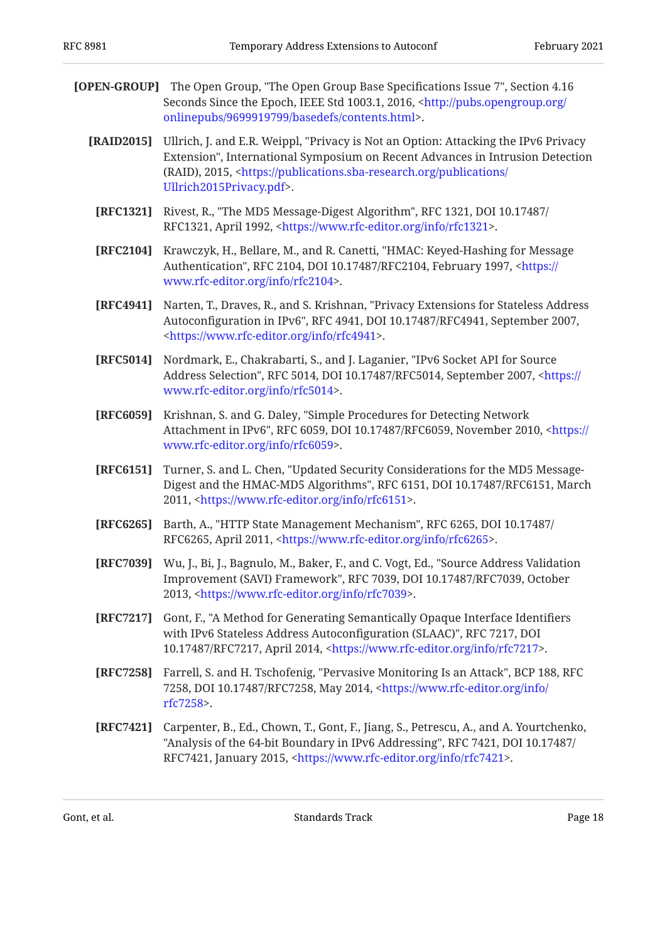<span id="page-17-11"></span><span id="page-17-9"></span><span id="page-17-8"></span><span id="page-17-6"></span><span id="page-17-5"></span><span id="page-17-2"></span><span id="page-17-1"></span>

|            | [OPEN-GROUP] The Open Group, "The Open Group Base Specifications Issue 7", Section 4.16<br>Seconds Since the Epoch, IEEE Std 1003.1, 2016, <http: <br="" pubs.opengroup.org="">onlinepubs/9699919799/basedefs/contents.html&gt;.</http:>                                                  |
|------------|-------------------------------------------------------------------------------------------------------------------------------------------------------------------------------------------------------------------------------------------------------------------------------------------|
| [RAID2015] | Ullrich, J. and E.R. Weippl, "Privacy is Not an Option: Attacking the IPv6 Privacy<br>Extension", International Symposium on Recent Advances in Intrusion Detection<br>(RAID), 2015, <https: <br="" publications="" publications.sba-research.org="">Ullrich2015Privacy.pdf&gt;.</https:> |
| [RFC1321]  | Rivest, R., "The MD5 Message-Digest Algorithm", RFC 1321, DOI 10.17487/<br>RFC1321, April 1992, <https: info="" rfc1321="" www.rfc-editor.org="">.</https:>                                                                                                                               |
| [RFC2104]  | Krawczyk, H., Bellare, M., and R. Canetti, "HMAC: Keyed-Hashing for Message<br>Authentication", RFC 2104, DOI 10.17487/RFC2104, February 1997, <https: <br="">www.rfc-editor.org/info/rfc2104&gt;.</https:>                                                                               |
| [RFC4941]  | Narten, T., Draves, R., and S. Krishnan, "Privacy Extensions for Stateless Address<br>Autoconfiguration in IPv6", RFC 4941, DOI 10.17487/RFC4941, September 2007,<br><https: info="" rfc4941="" www.rfc-editor.org="">.</https:>                                                          |
| [RFC5014]  | Nordmark, E., Chakrabarti, S., and J. Laganier, "IPv6 Socket API for Source<br>Address Selection", RFC 5014, DOI 10.17487/RFC5014, September 2007, <https: <br="">www.rfc-editor.org/info/rfc5014&gt;.</https:>                                                                           |
| [RFC6059]  | Krishnan, S. and G. Daley, "Simple Procedures for Detecting Network<br>Attachment in IPv6", RFC 6059, DOI 10.17487/RFC6059, November 2010, <https: <br="">www.rfc-editor.org/info/rfc6059&gt;.</https:>                                                                                   |
| [RFC6151]  | Turner, S. and L. Chen, "Updated Security Considerations for the MD5 Message-<br>Digest and the HMAC-MD5 Algorithms", RFC 6151, DOI 10.17487/RFC6151, March<br>2011, <https: info="" rfc6151="" www.rfc-editor.org="">.</https:>                                                          |
| [RFC6265]  | Barth, A., "HTTP State Management Mechanism", RFC 6265, DOI 10.17487/<br>RFC6265, April 2011, <https: info="" rfc6265="" www.rfc-editor.org="">.</https:>                                                                                                                                 |
| [RFC7039]  | Wu, J., Bi, J., Bagnulo, M., Baker, F., and C. Vogt, Ed., "Source Address Validation<br>Improvement (SAVI) Framework", RFC 7039, DOI 10.17487/RFC7039, October<br>2013, <https: info="" rfc7039="" www.rfc-editor.org="">.</https:>                                                       |
| [RFC7217]  | Gont, F., "A Method for Generating Semantically Opaque Interface Identifiers<br>with IPv6 Stateless Address Autoconfiguration (SLAAC)", RFC 7217, DOI<br>10.17487/RFC7217, April 2014, <https: info="" rfc7217="" www.rfc-editor.org="">.</https:>                                        |
| [RFC7258]  | Farrell, S. and H. Tschofenig, "Pervasive Monitoring Is an Attack", BCP 188, RFC<br>7258, DOI 10.17487/RFC7258, May 2014, <https: <br="" info="" www.rfc-editor.org="">rfc7258&gt;.</https:>                                                                                              |
| [RFC7421]  | Carpenter, B., Ed., Chown, T., Gont, F., Jiang, S., Petrescu, A., and A. Yourtchenko,<br>"Analysis of the 64-bit Boundary in IPv6 Addressing", RFC 7421, DOI 10.17487/<br>RFC7421, January 2015, <https: info="" rfc7421="" www.rfc-editor.org="">.</https:>                              |
|            |                                                                                                                                                                                                                                                                                           |

<span id="page-17-12"></span><span id="page-17-10"></span><span id="page-17-7"></span><span id="page-17-4"></span><span id="page-17-3"></span><span id="page-17-0"></span>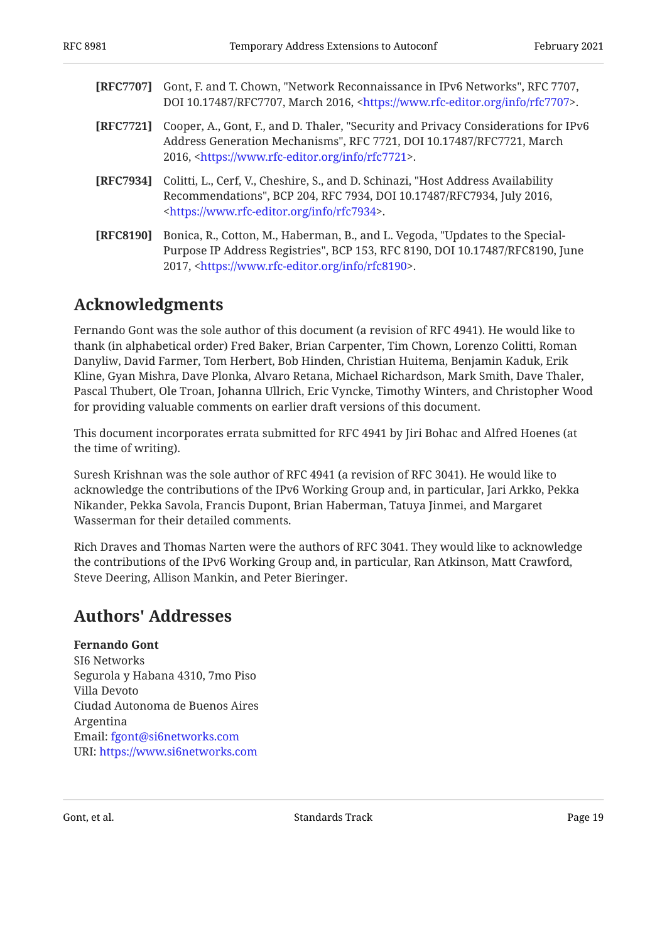<span id="page-18-5"></span><span id="page-18-3"></span><span id="page-18-2"></span>

| [RFC7707] | Gont, F. and T. Chown, "Network Reconnaissance in IPv6 Networks", RFC 7707,<br>DOI 10.17487/RFC7707, March 2016, <https: info="" rfc7707="" www.rfc-editor.org="">.</https:>                                                        |
|-----------|-------------------------------------------------------------------------------------------------------------------------------------------------------------------------------------------------------------------------------------|
| [RFC7721] | Cooper, A., Gont, F., and D. Thaler, "Security and Privacy Considerations for IPv6<br>Address Generation Mechanisms", RFC 7721, DOI 10.17487/RFC7721, March<br>2016, <https: info="" rfc7721="" www.rfc-editor.org="">.</https:>    |
| [RFC7934] | Colitti, L., Cerf, V., Cheshire, S., and D. Schinazi, "Host Address Availability<br>Recommendations", BCP 204, RFC 7934, DOI 10.17487/RFC7934, July 2016,<br><https: info="" rfc7934="" www.rfc-editor.org="">.</https:>            |
| [RFC8190] | Bonica, R., Cotton, M., Haberman, B., and L. Vegoda, "Updates to the Special-<br>Purpose IP Address Registries", BCP 153, RFC 8190, DOI 10.17487/RFC8190, June<br>2017, <https: info="" rfc8190="" www.rfc-editor.org="">.</https:> |

## <span id="page-18-4"></span><span id="page-18-0"></span>**[Acknowledgments](#page-18-0)**

Fernando Gont was the sole author of this document (a revision of RFC 4941). He would like to thank (in alphabetical order) Fred Baker, Brian Carpenter, Tim Chown, Lorenzo Colitti, Roman Danyliw, David Farmer, Tom Herbert, Bob Hinden, Christian Huitema, Benjamin Kaduk, Erik Kline, Gyan Mishra, Dave Plonka, Alvaro Retana, Michael Richardson, Mark Smith, Dave Thaler, Pascal Thubert, Ole Troan, Johanna Ullrich, Eric Vyncke, Timothy Winters, and Christopher Wood for providing valuable comments on earlier draft versions of this document.

This document incorporates errata submitted for RFC 4941 by Jiri Bohac and Alfred Hoenes (at the time of writing).

Suresh Krishnan was the sole author of RFC 4941 (a revision of RFC 3041). He would like to acknowledge the contributions of the IPv6 Working Group and, in particular, Jari Arkko, Pekka Nikander, Pekka Savola, Francis Dupont, Brian Haberman, Tatuya Jinmei, and Margaret Wasserman for their detailed comments.

Rich Draves and Thomas Narten were the authors of RFC 3041. They would like to acknowledge the contributions of the IPv6 Working Group and, in particular, Ran Atkinson, Matt Crawford, Steve Deering, Allison Mankin, and Peter Bieringer.

### <span id="page-18-1"></span>**[Authors' Addresses](#page-18-1)**

### **Fernando Gont**

SI6 Networks Segurola y Habana 4310, 7mo Piso Villa Devoto Ciudad Autonoma de Buenos Aires Argentina Email: [fgont@si6networks.com](mailto:fgont@si6networks.com) URI: <https://www.si6networks.com>